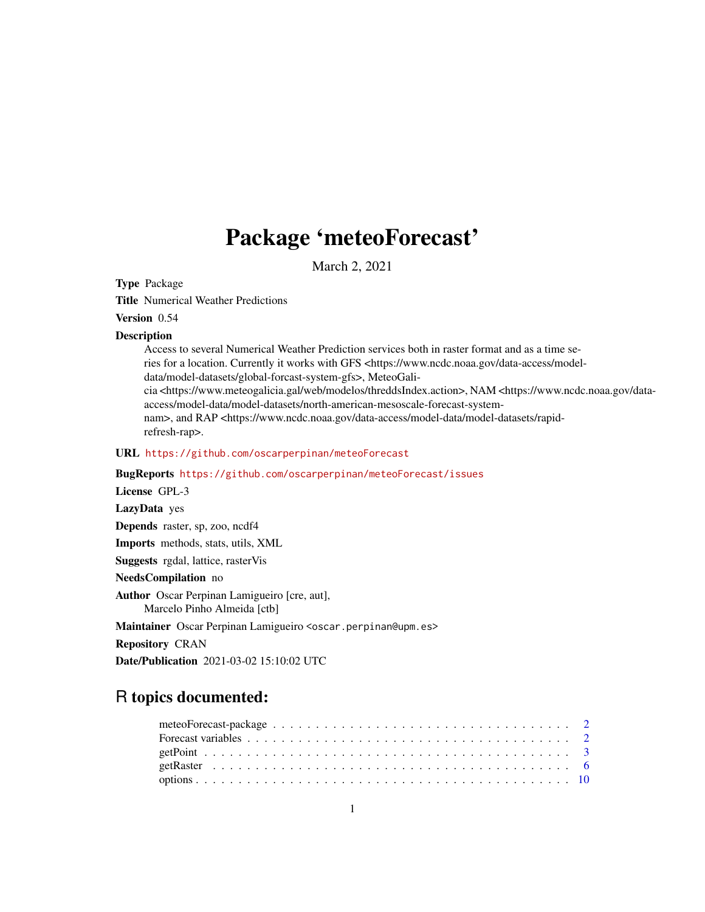## Package 'meteoForecast'

March 2, 2021

<span id="page-0-0"></span>Type Package

Title Numerical Weather Predictions

### Version 0.54

#### **Description**

Access to several Numerical Weather Prediction services both in raster format and as a time series for a location. Currently it works with GFS <https://www.ncdc.noaa.gov/data-access/modeldata/model-datasets/global-forcast-system-gfs>, MeteoGalicia <https://www.meteogalicia.gal/web/modelos/threddsIndex.action>, NAM <https://www.ncdc.noaa.gov/dataaccess/model-data/model-datasets/north-american-mesoscale-forecast-systemnam>, and RAP <https://www.ncdc.noaa.gov/data-access/model-data/model-datasets/rapidrefresh-rap>.

#### URL <https://github.com/oscarperpinan/meteoForecast>

BugReports <https://github.com/oscarperpinan/meteoForecast/issues> License GPL-3 LazyData yes Depends raster, sp, zoo, ncdf4 Imports methods, stats, utils, XML Suggests rgdal, lattice, rasterVis NeedsCompilation no Author Oscar Perpinan Lamigueiro [cre, aut], Marcelo Pinho Almeida [ctb]

Maintainer Oscar Perpinan Lamigueiro <oscar.perpinan@upm.es>

Repository CRAN

Date/Publication 2021-03-02 15:10:02 UTC

## R topics documented: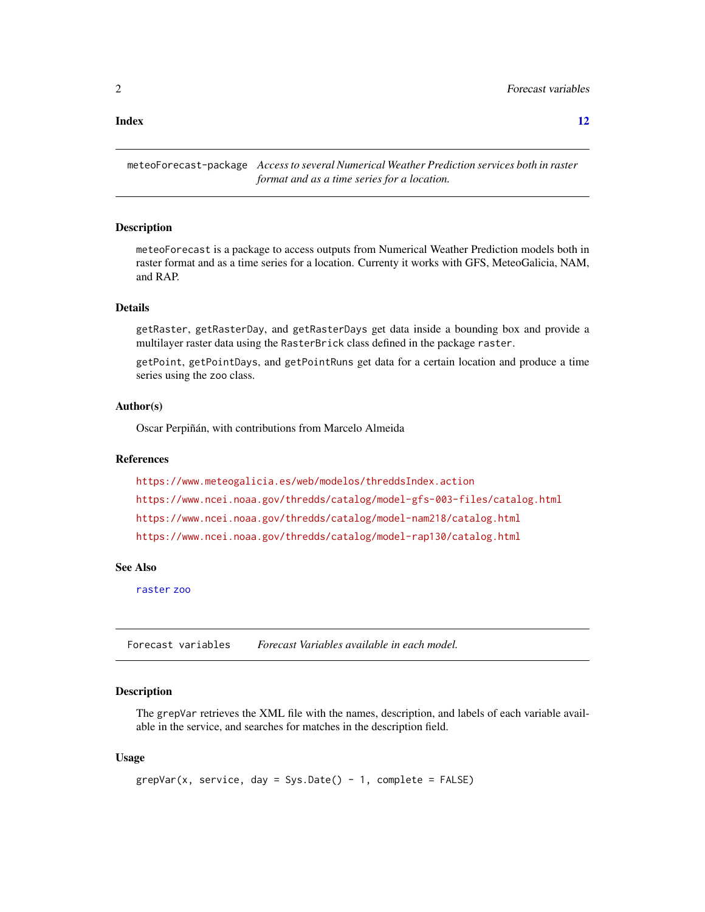#### <span id="page-1-0"></span>**Index** [12](#page-11-0)

meteoForecast-package *Access to several Numerical Weather Prediction services both in raster format and as a time series for a location.*

#### Description

meteoForecast is a package to access outputs from Numerical Weather Prediction models both in raster format and as a time series for a location. Currenty it works with GFS, MeteoGalicia, NAM, and RAP.

#### Details

getRaster, getRasterDay, and getRasterDays get data inside a bounding box and provide a multilayer raster data using the RasterBrick class defined in the package raster.

getPoint, getPointDays, and getPointRuns get data for a certain location and produce a time series using the zoo class.

#### Author(s)

Oscar Perpiñán, with contributions from Marcelo Almeida

#### References

```
https://www.meteogalicia.es/web/modelos/threddsIndex.action
https://www.ncei.noaa.gov/thredds/catalog/model-gfs-003-files/catalog.html
https://www.ncei.noaa.gov/thredds/catalog/model-nam218/catalog.html
https://www.ncei.noaa.gov/thredds/catalog/model-rap130/catalog.html
```
#### See Also

[raster](#page-0-0) [zoo](#page-0-0)

Forecast variables *Forecast Variables available in each model.*

#### <span id="page-1-1"></span>**Description**

The grepVar retrieves the XML file with the names, description, and labels of each variable available in the service, and searches for matches in the description field.

#### Usage

```
grepVar(x, service, day = Sys.Date() - 1, complete = FALSE)
```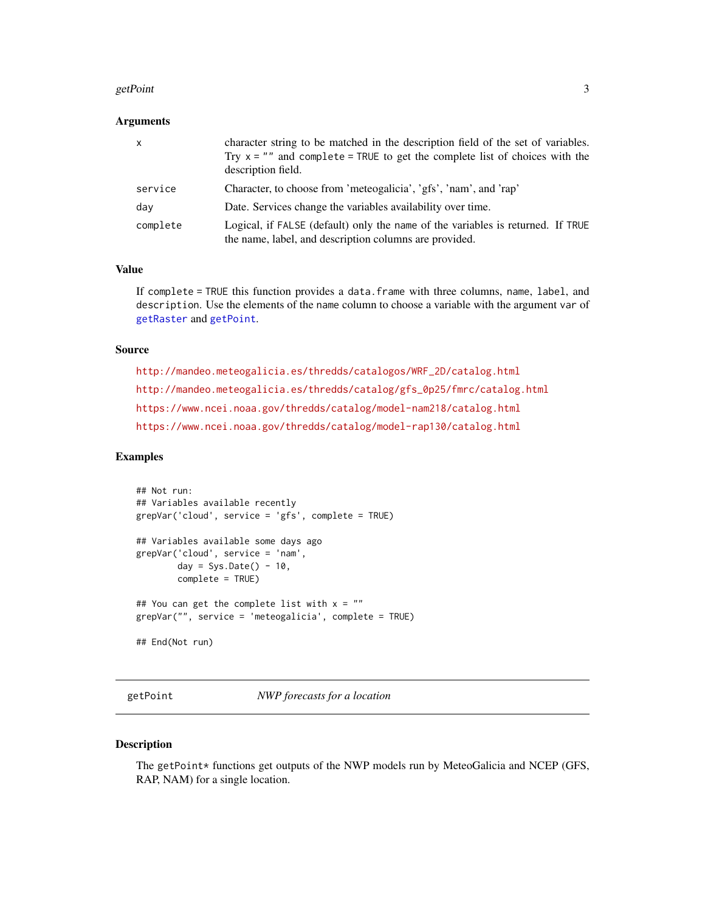#### <span id="page-2-0"></span>getPoint 3

#### **Arguments**

| $\mathsf{x}$ | character string to be matched in the description field of the set of variables.<br>Try $x =$ "" and complete = TRUE to get the complete list of choices with the<br>description field. |
|--------------|-----------------------------------------------------------------------------------------------------------------------------------------------------------------------------------------|
| service      | Character, to choose from 'meteogalicia', 'gfs', 'nam', and 'rap'                                                                                                                       |
| day          | Date. Services change the variables availability over time.                                                                                                                             |
| complete     | Logical, if FALSE (default) only the name of the variables is returned. If TRUE<br>the name, label, and description columns are provided.                                               |

#### Value

If complete = TRUE this function provides a data.frame with three columns, name, label, and description. Use the elements of the name column to choose a variable with the argument var of [getRaster](#page-5-1) and [getPoint](#page-2-1).

#### Source

[http://mandeo.meteogalicia.es/thredds/catalogos/WRF\\_2D/catalog.html](http://mandeo.meteogalicia.es/thredds/catalogos/WRF_2D/catalog.html) [http://mandeo.meteogalicia.es/thredds/catalog/gfs\\_0p25/fmrc/catalog.html](http://mandeo.meteogalicia.es/thredds/catalog/gfs_0p25/fmrc/catalog.html) <https://www.ncei.noaa.gov/thredds/catalog/model-nam218/catalog.html> <https://www.ncei.noaa.gov/thredds/catalog/model-rap130/catalog.html>

#### Examples

```
## Not run:
## Variables available recently
grepVar('cloud', service = 'gfs', complete = TRUE)
## Variables available some days ago
grepVar('cloud', service = 'nam',
       day = Sys.Date() - 10,complete = TRUE)
## You can get the complete list with x = "grepVar("", service = 'meteogalicia', complete = TRUE)
## End(Not run)
```
<span id="page-2-1"></span>getPoint *NWP forecasts for a location*

#### Description

The getPoint\* functions get outputs of the NWP models run by MeteoGalicia and NCEP (GFS, RAP, NAM) for a single location.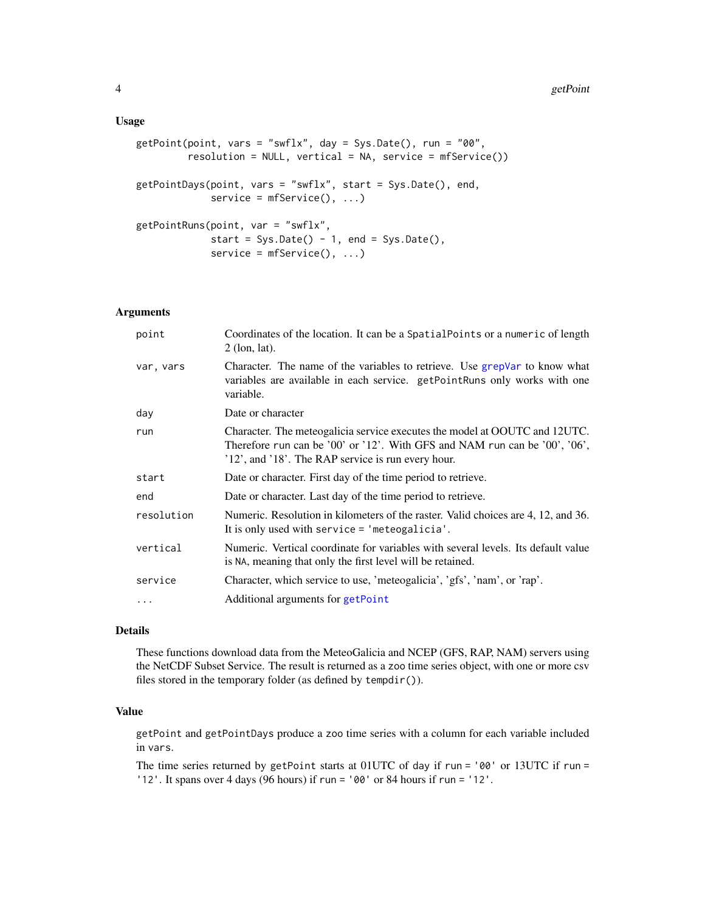#### <span id="page-3-0"></span>Usage

```
getPoint(point, vars = "swflx", day = Sys.Date(), run = "00",
         resolution = NULL, vertical = NA, service = mfService())
getPointDays(point, vars = "swflx", start = Sys.Date(), end,
             service = mfService(), ...getPointRuns(point, var = "swflx",
            start = Sys.Date() - 1, end = Sys.Date(),
             service = mfService(), ...
```
#### Arguments

| point      | Coordinates of the location. It can be a SpatialPoints or a numeric of length<br>$2$ (lon, lat).                                                                                                               |
|------------|----------------------------------------------------------------------------------------------------------------------------------------------------------------------------------------------------------------|
| var, vars  | Character. The name of the variables to retrieve. Use grepVar to know what<br>variables are available in each service. getPointRuns only works with one<br>variable.                                           |
| day        | Date or character                                                                                                                                                                                              |
| run        | Character. The meteogalicia service executes the model at OOUTC and 12UTC.<br>Therefore run can be '00' or '12'. With GFS and NAM run can be '00', '06',<br>'12', and '18'. The RAP service is run every hour. |
| start      | Date or character. First day of the time period to retrieve.                                                                                                                                                   |
| end        | Date or character. Last day of the time period to retrieve.                                                                                                                                                    |
| resolution | Numeric. Resolution in kilometers of the raster. Valid choices are 4, 12, and 36.<br>It is only used with service $=$ 'meteogalicia'.                                                                          |
| vertical   | Numeric. Vertical coordinate for variables with several levels. Its default value<br>is NA, meaning that only the first level will be retained.                                                                |
| service    | Character, which service to use, 'meteogalicia', 'gfs', 'nam', or 'rap'.                                                                                                                                       |
| .          | Additional arguments for getPoint                                                                                                                                                                              |

#### Details

These functions download data from the MeteoGalicia and NCEP (GFS, RAP, NAM) servers using the NetCDF Subset Service. The result is returned as a zoo time series object, with one or more csv files stored in the temporary folder (as defined by tempdir()).

#### Value

getPoint and getPointDays produce a zoo time series with a column for each variable included in vars.

The time series returned by getPoint starts at 01UTC of day if run = '00' or 13UTC if run = '12'. It spans over 4 days (96 hours) if run = '00' or 84 hours if run = '12'.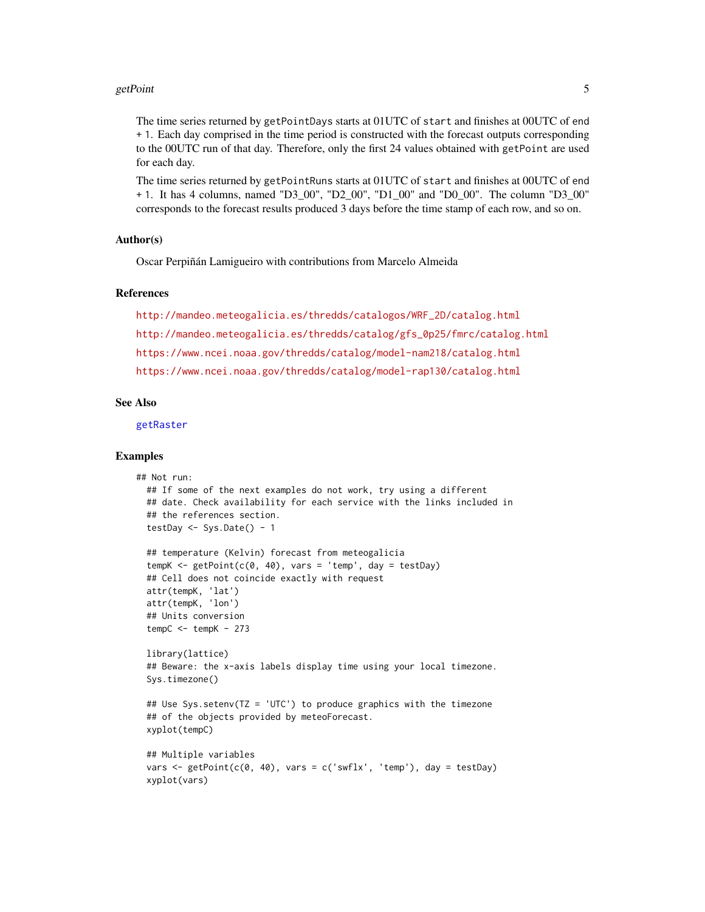#### <span id="page-4-0"></span>getPoint 5

The time series returned by getPointDays starts at 01UTC of start and finishes at 00UTC of end + 1. Each day comprised in the time period is constructed with the forecast outputs corresponding to the 00UTC run of that day. Therefore, only the first 24 values obtained with getPoint are used for each day.

The time series returned by getPointRuns starts at 01UTC of start and finishes at 00UTC of end + 1. It has 4 columns, named "D3\_00", "D2\_00", "D1\_00" and "D0\_00". The column "D3\_00" corresponds to the forecast results produced 3 days before the time stamp of each row, and so on.

#### Author(s)

Oscar Perpiñán Lamigueiro with contributions from Marcelo Almeida

#### References

[http://mandeo.meteogalicia.es/thredds/catalogos/WRF\\_2D/catalog.html](http://mandeo.meteogalicia.es/thredds/catalogos/WRF_2D/catalog.html) [http://mandeo.meteogalicia.es/thredds/catalog/gfs\\_0p25/fmrc/catalog.html](http://mandeo.meteogalicia.es/thredds/catalog/gfs_0p25/fmrc/catalog.html) <https://www.ncei.noaa.gov/thredds/catalog/model-nam218/catalog.html> <https://www.ncei.noaa.gov/thredds/catalog/model-rap130/catalog.html>

#### See Also

[getRaster](#page-5-1)

#### Examples

```
## Not run:
 ## If some of the next examples do not work, try using a different
 ## date. Check availability for each service with the links included in
 ## the references section.
 testDay \leq Sys.Date() - 1
 ## temperature (Kelvin) forecast from meteogalicia
 tempK <- getPoint(c(\emptyset, 4\emptyset), vars = 'temp', day = testDay)## Cell does not coincide exactly with request
 attr(tempK, 'lat')
 attr(tempK, 'lon')
 ## Units conversion
 tempC < - tempK - 273library(lattice)
 ## Beware: the x-axis labels display time using your local timezone.
 Sys.timezone()
 ## Use Sys.setenv(TZ = 'UTC') to produce graphics with the timezone
 ## of the objects provided by meteoForecast.
 xyplot(tempC)
 ## Multiple variables
 vars \leq getPoint(c(0, 40), vars = c('swflx', 'temp'), day = testDay)
 xyplot(vars)
```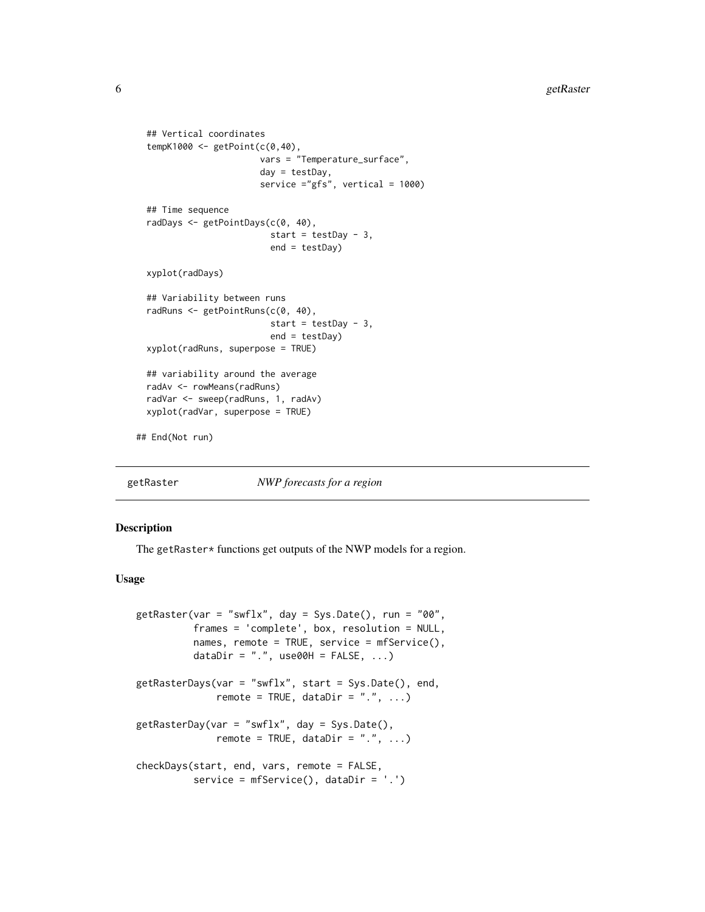```
## Vertical coordinates
 tempK1000 <- getPoint(c(0,40),
                        vars = "Temperature_surface",
                        day = testDay,
                        service ="gfs", vertical = 1000)
 ## Time sequence
 radDays <- getPointDays(c(0, 40),
                          start = testDay - 3,
                          end = testDay)
 xyplot(radDays)
 ## Variability between runs
 radRuns <- getPointRuns(c(0, 40),
                          start = testDay - 3,
                          end = testDay)
 xyplot(radRuns, superpose = TRUE)
 ## variability around the average
 radAv <- rowMeans(radRuns)
 radVar <- sweep(radRuns, 1, radAv)
 xyplot(radVar, superpose = TRUE)
## End(Not run)
```
<span id="page-5-1"></span>getRaster *NWP forecasts for a region*

#### Description

The getRaster\* functions get outputs of the NWP models for a region.

#### Usage

```
getRaster(var = "swflx", day = Sys.Date(), run = "00",
          frames = 'complete', box, resolution = NULL,
          names, remote = TRUE, service = mfService(),
          dataDir = ".", use00H = FALSE, ...)
getRasterDays(var = "swflx", start = Sys.Date(), end,
              remote = TRUE, dataDir = ".", \ldots)
getRasterDay(var = "swflx", day = Sys.Date(),
              remote = TRUE, dataDir = "."....)
checkDays(start, end, vars, remote = FALSE,
         service = mfService(), dataDir = '.')
```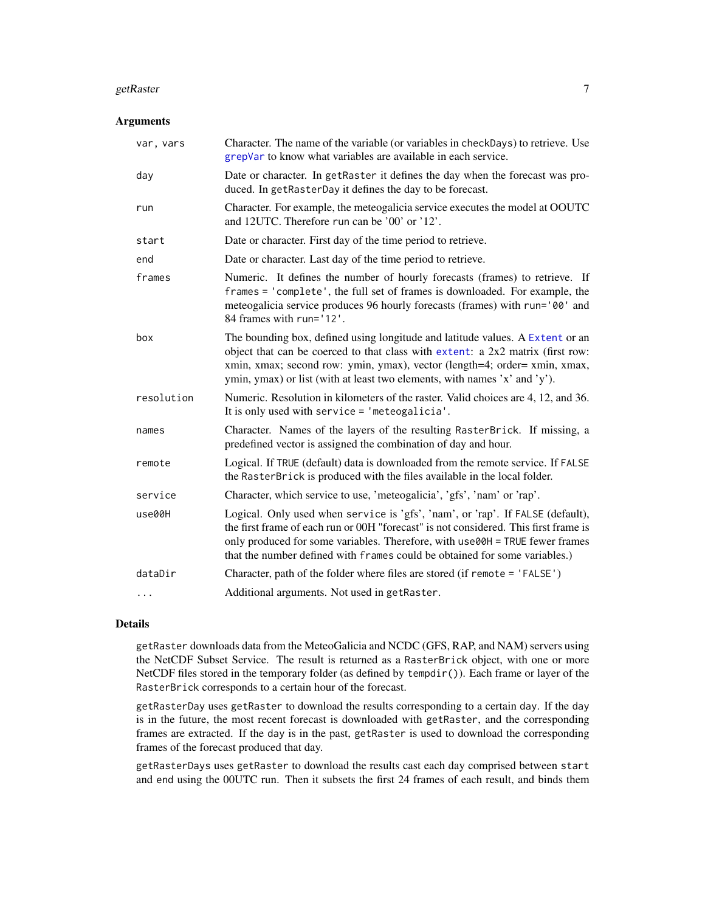#### <span id="page-6-0"></span>getRaster 7 and 2012 19:30 the set of the set of the set of the set of the set of the set of the set of the set of the set of the set of the set of the set of the set of the set of the set of the set of the set of the set

#### Arguments

| var, vars  | Character. The name of the variable (or variables in checkDays) to retrieve. Use<br>grepVar to know what variables are available in each service.                                                                                                                                                                                    |
|------------|--------------------------------------------------------------------------------------------------------------------------------------------------------------------------------------------------------------------------------------------------------------------------------------------------------------------------------------|
| day        | Date or character. In getRaster it defines the day when the forecast was pro-<br>duced. In getRasterDay it defines the day to be forecast.                                                                                                                                                                                           |
| run        | Character. For example, the meteogalicia service executes the model at OOUTC<br>and 12UTC. Therefore run can be '00' or '12'.                                                                                                                                                                                                        |
| start      | Date or character. First day of the time period to retrieve.                                                                                                                                                                                                                                                                         |
| end        | Date or character. Last day of the time period to retrieve.                                                                                                                                                                                                                                                                          |
| frames     | Numeric. It defines the number of hourly forecasts (frames) to retrieve. If<br>frames = 'complete', the full set of frames is downloaded. For example, the<br>meteogalicia service produces 96 hourly forecasts (frames) with run='00' and<br>84 frames with run='12'.                                                               |
| box        | The bounding box, defined using longitude and latitude values. A Extent or an<br>object that can be coerced to that class with extent: a 2x2 matrix (first row:<br>xmin, xmax; second row: ymin, ymax), vector (length=4; order= xmin, xmax,<br>ymin, ymax) or list (with at least two elements, with names 'x' and 'y').            |
| resolution | Numeric. Resolution in kilometers of the raster. Valid choices are 4, 12, and 36.<br>It is only used with service $=$ 'meteogalicia'.                                                                                                                                                                                                |
| names      | Character. Names of the layers of the resulting RasterBrick. If missing, a<br>predefined vector is assigned the combination of day and hour.                                                                                                                                                                                         |
| remote     | Logical. If TRUE (default) data is downloaded from the remote service. If FALSE<br>the RasterBrick is produced with the files available in the local folder.                                                                                                                                                                         |
| service    | Character, which service to use, 'meteogalicia', 'gfs', 'nam' or 'rap'.                                                                                                                                                                                                                                                              |
| use00H     | Logical. Only used when service is 'gfs', 'nam', or 'rap'. If FALSE (default),<br>the first frame of each run or 00H "forecast" is not considered. This first frame is<br>only produced for some variables. Therefore, with use00H = TRUE fewer frames<br>that the number defined with frames could be obtained for some variables.) |
| dataDir    | Character, path of the folder where files are stored (if remote = 'FALSE')                                                                                                                                                                                                                                                           |
| .          | Additional arguments. Not used in getRaster.                                                                                                                                                                                                                                                                                         |
|            |                                                                                                                                                                                                                                                                                                                                      |

#### Details

getRaster downloads data from the MeteoGalicia and NCDC (GFS, RAP, and NAM) servers using the NetCDF Subset Service. The result is returned as a RasterBrick object, with one or more NetCDF files stored in the temporary folder (as defined by tempdir()). Each frame or layer of the RasterBrick corresponds to a certain hour of the forecast.

getRasterDay uses getRaster to download the results corresponding to a certain day. If the day is in the future, the most recent forecast is downloaded with getRaster, and the corresponding frames are extracted. If the day is in the past, getRaster is used to download the corresponding frames of the forecast produced that day.

getRasterDays uses getRaster to download the results cast each day comprised between start and end using the 00UTC run. Then it subsets the first 24 frames of each result, and binds them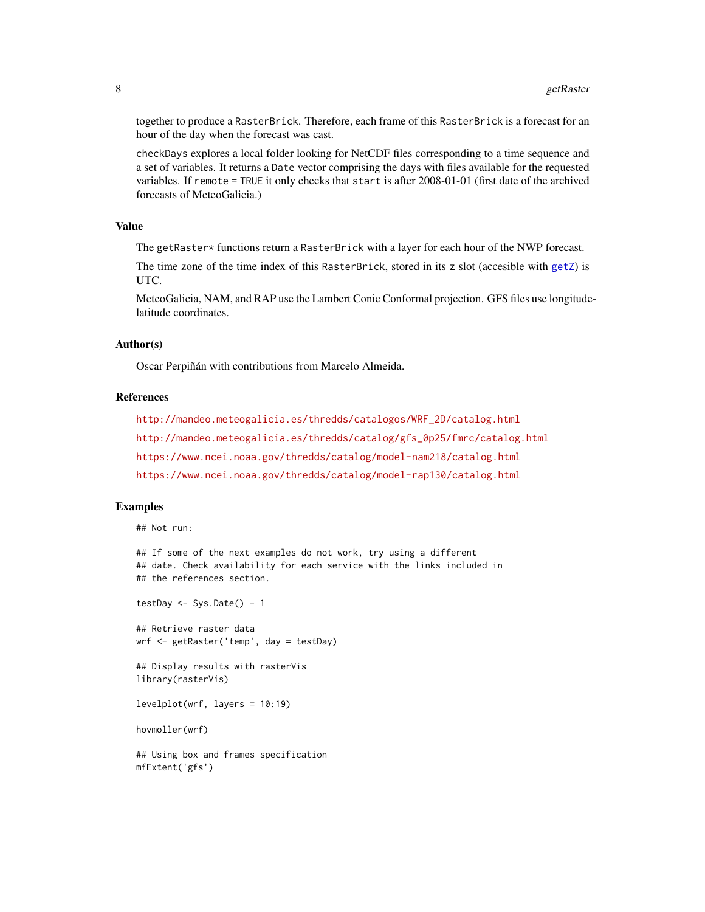<span id="page-7-0"></span>together to produce a RasterBrick. Therefore, each frame of this RasterBrick is a forecast for an hour of the day when the forecast was cast.

checkDays explores a local folder looking for NetCDF files corresponding to a time sequence and a set of variables. It returns a Date vector comprising the days with files available for the requested variables. If remote = TRUE it only checks that start is after 2008-01-01 (first date of the archived forecasts of MeteoGalicia.)

#### Value

The getRaster\* functions return a RasterBrick with a layer for each hour of the NWP forecast.

The time zone of the time index of this RasterBrick, stored in its z slot (accesible with [getZ](#page-0-0)) is UTC.

MeteoGalicia, NAM, and RAP use the Lambert Conic Conformal projection. GFS files use longitudelatitude coordinates.

#### Author(s)

Oscar Perpiñán with contributions from Marcelo Almeida.

#### **References**

```
http://mandeo.meteogalicia.es/thredds/catalogos/WRF_2D/catalog.html
http://mandeo.meteogalicia.es/thredds/catalog/gfs_0p25/fmrc/catalog.html
https://www.ncei.noaa.gov/thredds/catalog/model-nam218/catalog.html
https://www.ncei.noaa.gov/thredds/catalog/model-rap130/catalog.html
```
#### Examples

```
## Not run:
```

```
## If some of the next examples do not work, try using a different
## date. Check availability for each service with the links included in
## the references section.
```

```
testDay \leq Sys.Date() - 1
```
## Retrieve raster data wrf <- getRaster('temp', day = testDay)

```
## Display results with rasterVis
library(rasterVis)
```
levelplot(wrf, layers = 10:19)

hovmoller(wrf)

## Using box and frames specification mfExtent('gfs')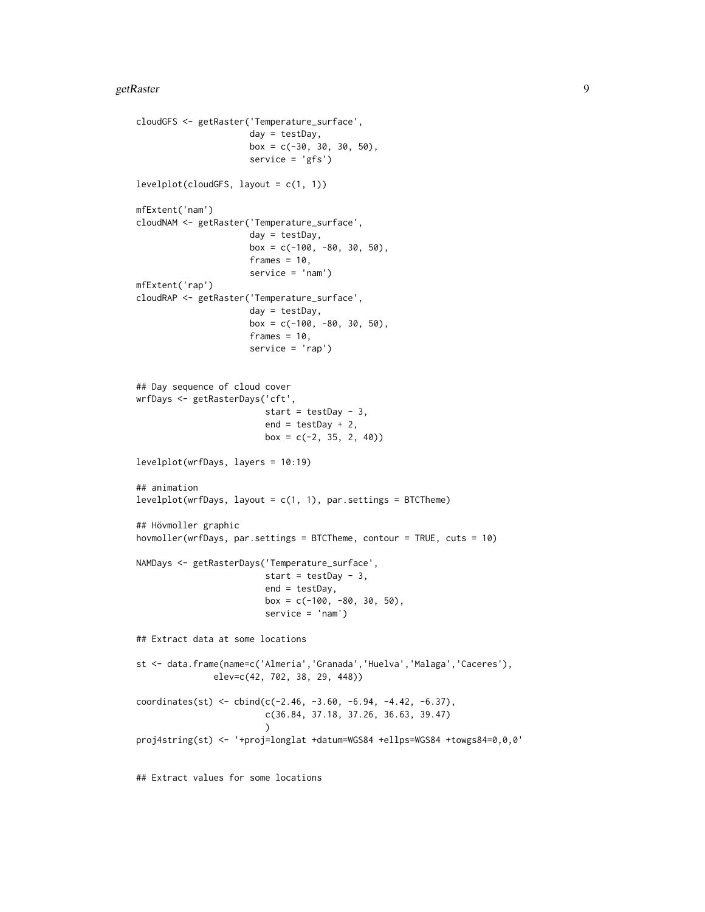#### getRaster 99

```
cloudGFS <- getRaster('Temperature_surface',
                      day = testDay,
                      box = c(-30, 30, 30, 50),
                      service = 'gfs')
levelplot(cloudGFS, layout = c(1, 1))
mfExtent('nam')
cloudNAM <- getRaster('Temperature_surface',
                      day = testDay,
                      box = c(-100, -80, 30, 50),
                      frames = 10,
                      service = 'nam')
mfExtent('rap')
cloudRAP <- getRaster('Temperature_surface',
                      day = testDay,
                      box = c(-100, -80, 30, 50),
                      frames = 10,
                      service = 'rap')
## Day sequence of cloud cover
wrfDays <- getRasterDays('cft',
                         start = testDay - 3,
                         end = testDay + 2,
                         box = c(-2, 35, 2, 40)levelplot(wrfDays, layers = 10:19)
## animation
levelplot(wrfDays, layout = c(1, 1), par.settings = BTCThene)## Hövmoller graphic
hovmoller(wrfDays, par.settings = BTCTheme, contour = TRUE, cuts = 10)
NAMDays <- getRasterDays('Temperature_surface',
                         start = testDay - 3,
                         end = testDay,
                         box = c(-100, -80, 30, 50),
                         service = 'nam')
## Extract data at some locations
st <- data.frame(name=c('Almeria','Granada','Huelva','Malaga','Caceres'),
               elev=c(42, 702, 38, 29, 448))
coordinates(st) <- cbind(c(-2.46, -3.60, -6.94, -4.42, -6.37),
                         c(36.84, 37.18, 37.26, 36.63, 39.47)
                         \lambdaproj4string(st) <- '+proj=longlat +datum=WGS84 +ellps=WGS84 +towgs84=0,0,0'
```
## Extract values for some locations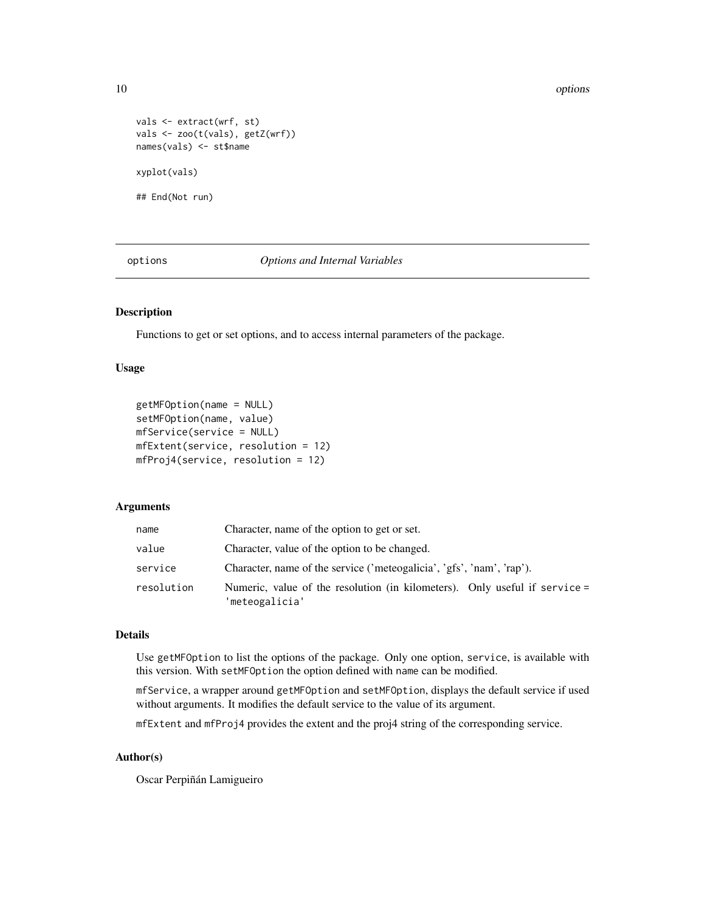10 options and the contract of the contract of the contract of the contract of the contract of the contract of the contract of the contract of the contract of the contract of the contract of the contract of the contract of

```
vals <- extract(wrf, st)
vals <- zoo(t(vals), getZ(wrf))
names(vals) <- st$name
xyplot(vals)
## End(Not run)
```
options *Options and Internal Variables*

#### Description

Functions to get or set options, and to access internal parameters of the package.

#### Usage

```
getMFOption(name = NULL)
setMFOption(name, value)
mfService(service = NULL)
mfExtent(service, resolution = 12)
mfProj4(service, resolution = 12)
```
#### Arguments

| name       | Character, name of the option to get or set.                                                 |
|------------|----------------------------------------------------------------------------------------------|
| value      | Character, value of the option to be changed.                                                |
| service    | Character, name of the service ('meteogalicia', 'gfs', 'nam', 'rap').                        |
| resolution | Numeric, value of the resolution (in kilometers). Only useful if service =<br>'meteogalicia' |

#### Details

Use getMFOption to list the options of the package. Only one option, service, is available with this version. With setMFOption the option defined with name can be modified.

mfService, a wrapper around getMFOption and setMFOption, displays the default service if used without arguments. It modifies the default service to the value of its argument.

mfExtent and mfProj4 provides the extent and the proj4 string of the corresponding service.

#### Author(s)

Oscar Perpiñán Lamigueiro

<span id="page-9-0"></span>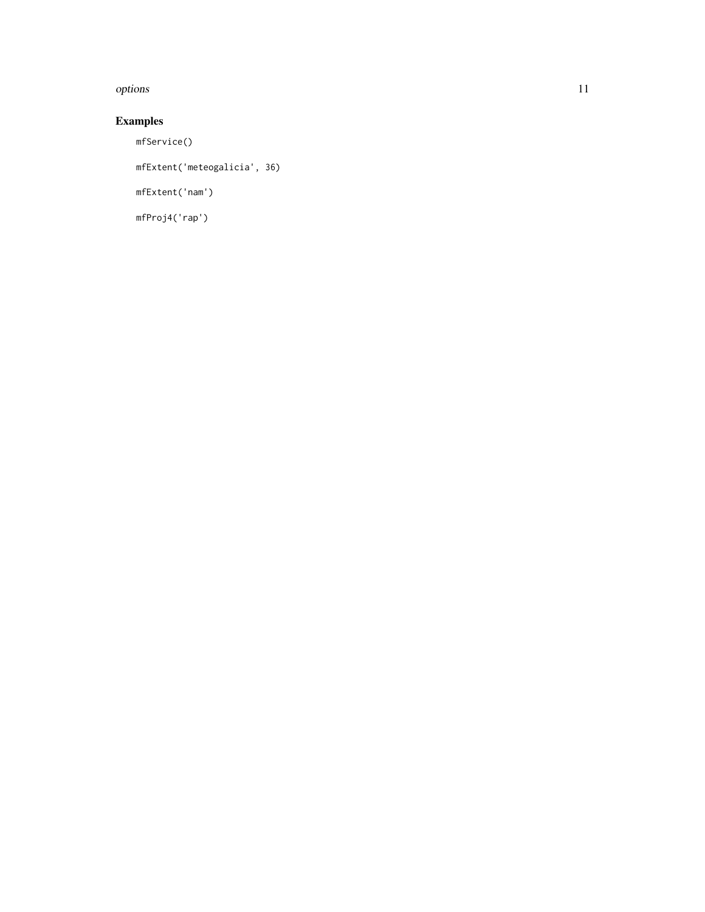#### options and the contract of the contract of the contract of the contract of the contract of the contract of the contract of the contract of the contract of the contract of the contract of the contract of the contract of th

## Examples

mfService()

mfExtent('meteogalicia', 36)

mfExtent('nam')

mfProj4('rap')